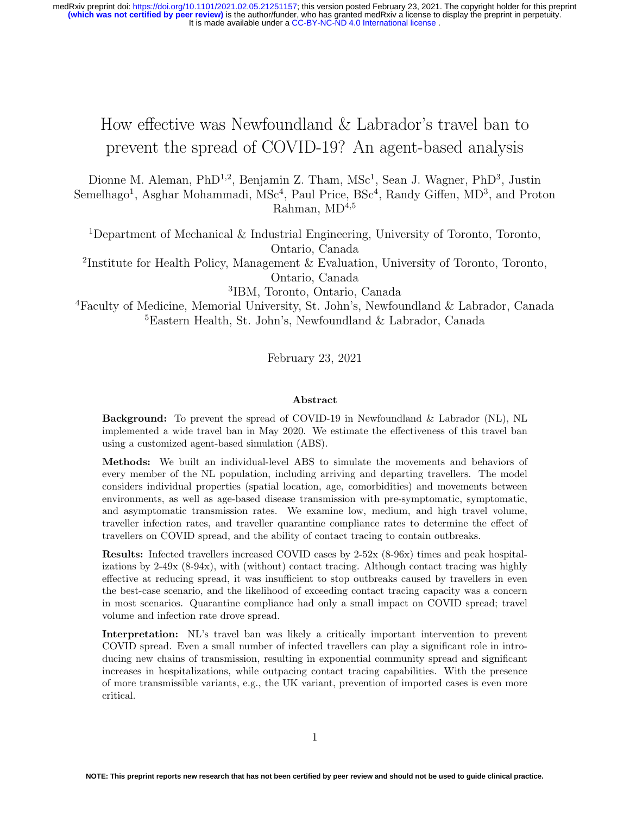# How effective was Newfoundland & Labrador's travel ban to prevent the spread of COVID-19? An agent-based analysis

Dionne M. Aleman, PhD<sup>1,2</sup>, Benjamin Z. Tham, MSc<sup>1</sup>, Sean J. Wagner, PhD<sup>3</sup>, Justin Semelhago<sup>1</sup>, Asghar Mohammadi, MSc<sup>4</sup>, Paul Price, BSc<sup>4</sup>, Randy Giffen, MD<sup>3</sup>, and Proton Rahman,  $MD<sup>4,5</sup>$ 

<sup>1</sup>Department of Mechanical & Industrial Engineering, University of Toronto, Toronto, Ontario, Canada

<sup>2</sup>Institute for Health Policy, Management & Evaluation, University of Toronto, Toronto, Ontario, Canada

3 IBM, Toronto, Ontario, Canada

<sup>4</sup>Faculty of Medicine, Memorial University, St. John's, Newfoundland & Labrador, Canada <sup>5</sup>Eastern Health, St. John's, Newfoundland & Labrador, Canada

February 23, 2021

#### Abstract

Background: To prevent the spread of COVID-19 in Newfoundland & Labrador (NL), NL implemented a wide travel ban in May 2020. We estimate the effectiveness of this travel ban using a customized agent-based simulation (ABS).

Methods: We built an individual-level ABS to simulate the movements and behaviors of every member of the NL population, including arriving and departing travellers. The model considers individual properties (spatial location, age, comorbidities) and movements between environments, as well as age-based disease transmission with pre-symptomatic, symptomatic, and asymptomatic transmission rates. We examine low, medium, and high travel volume, traveller infection rates, and traveller quarantine compliance rates to determine the effect of travellers on COVID spread, and the ability of contact tracing to contain outbreaks.

Results: Infected travellers increased COVID cases by 2-52x (8-96x) times and peak hospitalizations by  $2-49x$  (8-94x), with (without) contact tracing. Although contact tracing was highly effective at reducing spread, it was insufficient to stop outbreaks caused by travellers in even the best-case scenario, and the likelihood of exceeding contact tracing capacity was a concern in most scenarios. Quarantine compliance had only a small impact on COVID spread; travel volume and infection rate drove spread.

Interpretation: NL's travel ban was likely a critically important intervention to prevent COVID spread. Even a small number of infected travellers can play a significant role in introducing new chains of transmission, resulting in exponential community spread and significant increases in hospitalizations, while outpacing contact tracing capabilities. With the presence of more transmissible variants, e.g., the UK variant, prevention of imported cases is even more critical.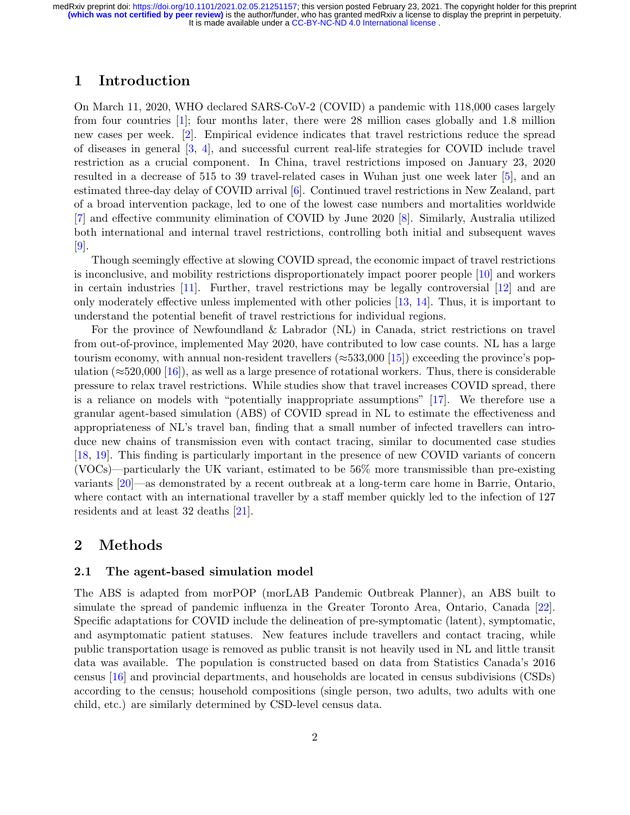# 1 Introduction

On March 11, 2020, WHO declared SARS-CoV-2 (COVID) a pandemic with 118,000 cases largely from four countries [\[1\]](#page-11-0); four months later, there were 28 million cases globally and 1.8 million new cases per week. [\[2\]](#page-11-1). Empirical evidence indicates that travel restrictions reduce the spread of diseases in general [\[3,](#page-11-2) [4\]](#page-11-3), and successful current real-life strategies for COVID include travel restriction as a crucial component. In China, travel restrictions imposed on January 23, 2020 resulted in a decrease of 515 to 39 travel-related cases in Wuhan just one week later [\[5\]](#page-11-4), and an estimated three-day delay of COVID arrival [\[6\]](#page-11-5). Continued travel restrictions in New Zealand, part of a broad intervention package, led to one of the lowest case numbers and mortalities worldwide [\[7\]](#page-11-6) and effective community elimination of COVID by June 2020 [\[8\]](#page-12-0). Similarly, Australia utilized both international and internal travel restrictions, controlling both initial and subsequent waves  $|9|$ .

Though seemingly effective at slowing COVID spread, the economic impact of travel restrictions is inconclusive, and mobility restrictions disproportionately impact poorer people [\[10\]](#page-12-2) and workers in certain industries  $[11]$ . Further, travel restrictions may be legally controversial  $[12]$  and are only moderately effective unless implemented with other policies [\[13,](#page-12-5) [14\]](#page-12-6). Thus, it is important to understand the potential benefit of travel restrictions for individual regions.

For the province of Newfoundland & Labrador (NL) in Canada, strict restrictions on travel from out-of-province, implemented May 2020, have contributed to low case counts. NL has a large tourism economy, with annual non-resident travellers ( $\approx 533,000$  [\[15\]](#page-12-7)) exceeding the province's population ( $\approx$ 520,000 [\[16\]](#page-12-8)), as well as a large presence of rotational workers. Thus, there is considerable pressure to relax travel restrictions. While studies show that travel increases COVID spread, there is a reliance on models with "potentially inappropriate assumptions" [\[17\]](#page-12-9). We therefore use a granular agent-based simulation (ABS) of COVID spread in NL to estimate the effectiveness and appropriateness of NL's travel ban, finding that a small number of infected travellers can introduce new chains of transmission even with contact tracing, similar to documented case studies [\[18,](#page-12-10) [19\]](#page-12-11). This finding is particularly important in the presence of new COVID variants of concern (VOCs)—particularly the UK variant, estimated to be 56% more transmissible than pre-existing variants [\[20\]](#page-12-12)—as demonstrated by a recent outbreak at a long-term care home in Barrie, Ontario, where contact with an international traveller by a staff member quickly led to the infection of 127 residents and at least 32 deaths [\[21\]](#page-12-13).

## 2 Methods

## 2.1 The agent-based simulation model

The ABS is adapted from morPOP (morLAB Pandemic Outbreak Planner), an ABS built to simulate the spread of pandemic influenza in the Greater Toronto Area, Ontario, Canada [\[22\]](#page-13-0). Specific adaptations for COVID include the delineation of pre-symptomatic (latent), symptomatic, and asymptomatic patient statuses. New features include travellers and contact tracing, while public transportation usage is removed as public transit is not heavily used in NL and little transit data was available. The population is constructed based on data from Statistics Canada's 2016 census [\[16\]](#page-12-8) and provincial departments, and households are located in census subdivisions (CSDs) according to the census; household compositions (single person, two adults, two adults with one child, etc.) are similarly determined by CSD-level census data.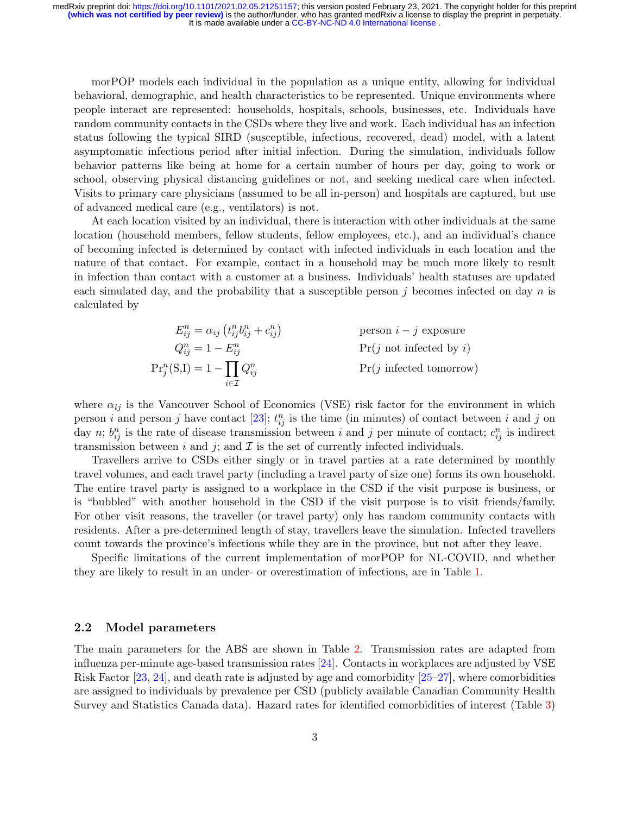morPOP models each individual in the population as a unique entity, allowing for individual behavioral, demographic, and health characteristics to be represented. Unique environments where people interact are represented: households, hospitals, schools, businesses, etc. Individuals have random community contacts in the CSDs where they live and work. Each individual has an infection status following the typical SIRD (susceptible, infectious, recovered, dead) model, with a latent asymptomatic infectious period after initial infection. During the simulation, individuals follow behavior patterns like being at home for a certain number of hours per day, going to work or school, observing physical distancing guidelines or not, and seeking medical care when infected. Visits to primary care physicians (assumed to be all in-person) and hospitals are captured, but use of advanced medical care (e.g., ventilators) is not.

At each location visited by an individual, there is interaction with other individuals at the same location (household members, fellow students, fellow employees, etc.), and an individual's chance of becoming infected is determined by contact with infected individuals in each location and the nature of that contact. For example, contact in a household may be much more likely to result in infection than contact with a customer at a business. Individuals' health statuses are updated each simulated day, and the probability that a susceptible person j becomes infected on day n is calculated by

$$
E_{ij}^{n} = \alpha_{ij} \left( t_{ij}^{n} b_{ij}^{n} + c_{ij}^{n} \right)
$$
person  $i - j$  exposure  
\n
$$
Q_{ij}^{n} = 1 - E_{ij}^{n}
$$
Pr(j not infected by i)  
\n
$$
Pr_{j}^{n}(S,I) = 1 - \prod_{i \in \mathcal{I}} Q_{ij}^{n}
$$
Pr(j infected tomorrow)

where  $\alpha_{ij}$  is the Vancouver School of Economics (VSE) risk factor for the environment in which person i and person j have contact [\[23\]](#page-13-1);  $t_{ij}^n$  is the time (in minutes) of contact between i and j on day n;  $b_{ij}^n$  is the rate of disease transmission between i and j per minute of contact;  $c_{ij}^n$  is indirect transmission between i and j; and  $\mathcal I$  is the set of currently infected individuals.

Travellers arrive to CSDs either singly or in travel parties at a rate determined by monthly travel volumes, and each travel party (including a travel party of size one) forms its own household. The entire travel party is assigned to a workplace in the CSD if the visit purpose is business, or is "bubbled" with another household in the CSD if the visit purpose is to visit friends/family. For other visit reasons, the traveller (or travel party) only has random community contacts with residents. After a pre-determined length of stay, travellers leave the simulation. Infected travellers count towards the province's infections while they are in the province, but not after they leave.

Specific limitations of the current implementation of morPOP for NL-COVID, and whether they are likely to result in an under- or overestimation of infections, are in Table [1.](#page-3-0)

#### 2.2 Model parameters

The main parameters for the ABS are shown in Table [2.](#page-4-0) Transmission rates are adapted from influenza per-minute age-based transmission rates [\[24\]](#page-13-2). Contacts in workplaces are adjusted by VSE Risk Factor [\[23,](#page-13-1) [24\]](#page-13-2), and death rate is adjusted by age and comorbidity [\[25–](#page-13-3)[27\]](#page-13-4), where comorbidities are assigned to individuals by prevalence per CSD (publicly available Canadian Community Health Survey and Statistics Canada data). Hazard rates for identified comorbidities of interest (Table [3\)](#page-5-0)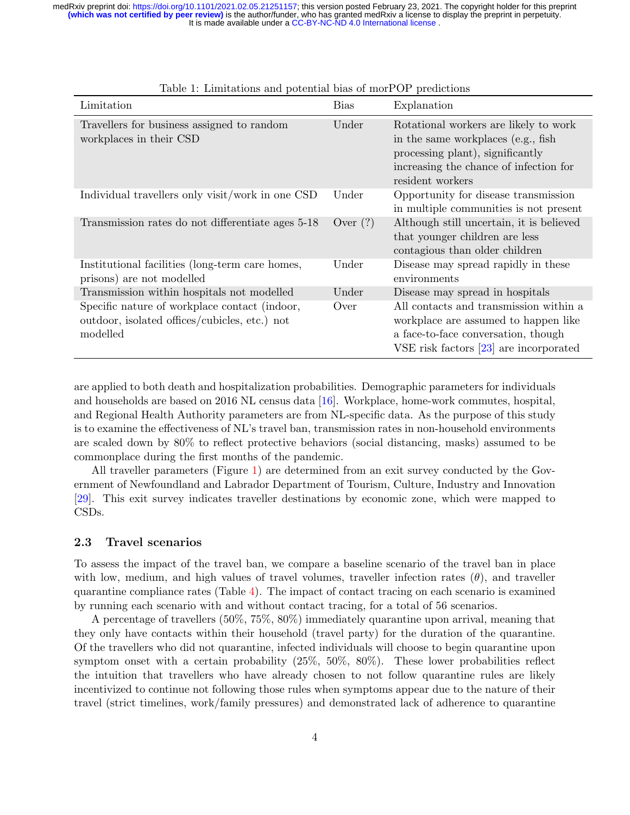| Limitation                                                                                                 | <b>Bias</b> | Explanation                                                                                                                                                                    |
|------------------------------------------------------------------------------------------------------------|-------------|--------------------------------------------------------------------------------------------------------------------------------------------------------------------------------|
| Travellers for business assigned to random<br>workplaces in their CSD                                      | Under       | Rotational workers are likely to work<br>in the same workplaces (e.g., fish)<br>processing plant), significantly<br>increasing the chance of infection for<br>resident workers |
| Individual travellers only visit/work in one CSD                                                           | Under       | Opportunity for disease transmission<br>in multiple communities is not present                                                                                                 |
| Transmission rates do not differentiate ages 5-18                                                          | Over $(?)$  | Although still uncertain, it is believed<br>that younger children are less<br>contagious than older children                                                                   |
| Institutional facilities (long-term care homes,<br>prisons) are not modelled                               | Under       | Disease may spread rapidly in these<br>environments                                                                                                                            |
| Transmission within hospitals not modelled                                                                 | Under       | Disease may spread in hospitals                                                                                                                                                |
| Specific nature of workplace contact (indoor,<br>outdoor, isolated offices/cubicles, etc.) not<br>modelled | Over        | All contacts and transmission within a<br>workplace are assumed to happen like<br>a face-to-face conversation, though<br>VSE risk factors $[23]$ are incorporated              |

<span id="page-3-0"></span>Table 1: Limitations and potential bias of morPOP predictions

are applied to both death and hospitalization probabilities. Demographic parameters for individuals and households are based on 2016 NL census data [\[16\]](#page-12-8). Workplace, home-work commutes, hospital, and Regional Health Authority parameters are from NL-specific data. As the purpose of this study is to examine the effectiveness of NL's travel ban, transmission rates in non-household environments are scaled down by 80% to reflect protective behaviors (social distancing, masks) assumed to be commonplace during the first months of the pandemic.

All traveller parameters (Figure [1\)](#page-5-1) are determined from an exit survey conducted by the Government of Newfoundland and Labrador Department of Tourism, Culture, Industry and Innovation [\[29\]](#page-13-5). This exit survey indicates traveller destinations by economic zone, which were mapped to CSDs.

#### 2.3 Travel scenarios

To assess the impact of the travel ban, we compare a baseline scenario of the travel ban in place with low, medium, and high values of travel volumes, traveller infection rates  $(\theta)$ , and traveller quarantine compliance rates (Table  $4$ ). The impact of contact tracing on each scenario is examined by running each scenario with and without contact tracing, for a total of 56 scenarios.

A percentage of travellers (50%, 75%, 80%) immediately quarantine upon arrival, meaning that they only have contacts within their household (travel party) for the duration of the quarantine. Of the travellers who did not quarantine, infected individuals will choose to begin quarantine upon symptom onset with a certain probability (25%, 50%, 80%). These lower probabilities reflect the intuition that travellers who have already chosen to not follow quarantine rules are likely incentivized to continue not following those rules when symptoms appear due to the nature of their travel (strict timelines, work/family pressures) and demonstrated lack of adherence to quarantine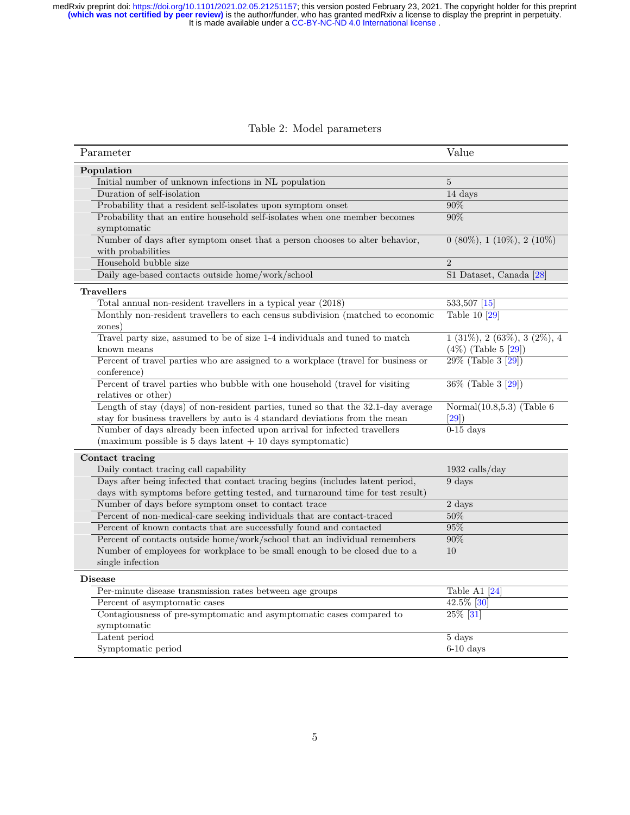#### <span id="page-4-0"></span>Table 2: Model parameters

| Parameter                                                                                         | Value                            |
|---------------------------------------------------------------------------------------------------|----------------------------------|
| Population                                                                                        |                                  |
| Initial number of unknown infections in NL population                                             | $\overline{5}$                   |
| Duration of self-isolation                                                                        | 14 days                          |
| Probability that a resident self-isolates upon symptom onset                                      | $90\%$                           |
| Probability that an entire household self-isolates when one member becomes                        | 90%                              |
| symptomatic                                                                                       |                                  |
| Number of days after symptom onset that a person chooses to alter behavior,<br>with probabilities | $0(80\%), 1(10\%), 2(10\%)$      |
| Household bubble size                                                                             | $\overline{2}$                   |
| Daily age-based contacts outside home/work/school                                                 | S1 Dataset, Canada [28]          |
| <b>Travellers</b>                                                                                 |                                  |
| Total annual non-resident travellers in a typical year (2018)                                     | 533,507 [15]                     |
| Monthly non-resident travellers to each census subdivision (matched to economic                   | Table 10 [29]                    |
| zones)                                                                                            |                                  |
| Travel party size, assumed to be of size 1-4 individuals and tuned to match                       | $1 (31\%), 2 (63\%), 3 (2\%), 4$ |
| known means                                                                                       | $(4\%)$ (Table 5 [29])           |
| Percent of travel parties who are assigned to a workplace (travel for business or                 | $29\%$ (Table 3 [29])            |
| conference)                                                                                       |                                  |
| Percent of travel parties who bubble with one household (travel for visiting                      | 36\% (Table 3 [29])              |
| relatives or other)                                                                               |                                  |
| Length of stay (days) of non-resident parties, tuned so that the 32.1-day average                 | Normal $(10.8, 5.3)$ (Table 6)   |
| stay for business travellers by auto is 4 standard deviations from the mean                       | [29]                             |
| Number of days already been infected upon arrival for infected travellers                         | $0-15$ days                      |
| (maximum possible is $5$ days latent $+10$ days symptomatic)                                      |                                  |
| Contact tracing                                                                                   |                                  |
| Daily contact tracing call capability                                                             | $1932$ calls/day                 |
| Days after being infected that contact tracing begins (includes latent period,                    | 9 days                           |
| days with symptoms before getting tested, and turnaround time for test result)                    |                                  |
| Number of days before symptom onset to contact trace                                              | 2 days                           |
| Percent of non-medical-care seeking individuals that are contact-traced                           | $50\%$                           |
| Percent of known contacts that are successfully found and contacted                               | 95%                              |
| Percent of contacts outside home/work/school that an individual remembers                         | 90%                              |
| Number of employees for workplace to be small enough to be closed due to a                        | 10                               |
| single infection                                                                                  |                                  |
| <b>Disease</b>                                                                                    |                                  |
| Per-minute disease transmission rates between age groups                                          | Table A1 $[24]$                  |
| Percent of asymptomatic cases                                                                     | 42.5% [30]                       |
| Contagiousness of pre-symptomatic and asymptomatic cases compared to                              | 25% [31]                         |
| symptomatic                                                                                       |                                  |
| Latent period                                                                                     | 5 days                           |
| Symptomatic period                                                                                | $6-10$ days                      |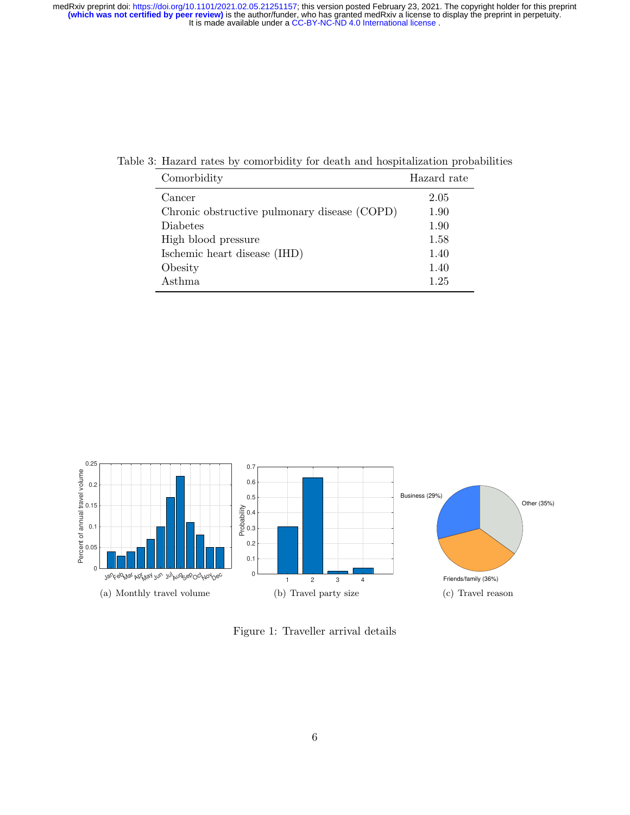Table 3: Hazard rates by comorbidity for death and hospitalization probabilities

<span id="page-5-0"></span>

| Comorbidity                                  | Hazard rate |
|----------------------------------------------|-------------|
| Cancer                                       | 2.05        |
| Chronic obstructive pulmonary disease (COPD) | 1.90        |
| <b>Diabetes</b>                              | 1.90        |
| High blood pressure                          | 1.58        |
| Ischemic heart disease (IHD)                 | 1.40        |
| Obesity                                      | 1.40        |
| Asthma                                       | 1.25        |



<span id="page-5-1"></span>Figure 1: Traveller arrival details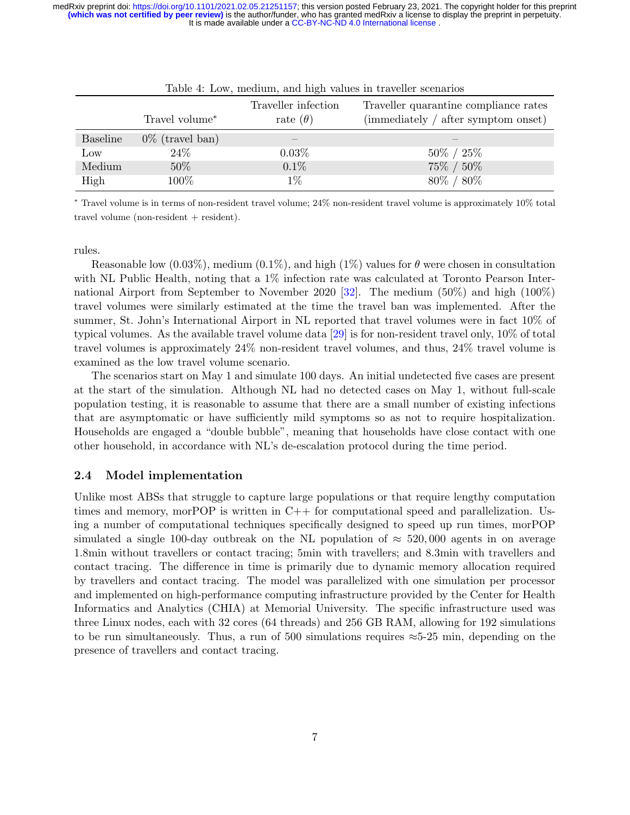| twore in money incommitty with ingher without in the context occurrence |                            |                                        |                                                                              |  |  |  |
|-------------------------------------------------------------------------|----------------------------|----------------------------------------|------------------------------------------------------------------------------|--|--|--|
|                                                                         | Travel volume <sup>*</sup> | Traveller infection<br>rate $(\theta)$ | Traveller quarantine compliance rates<br>(immediately / after symptom onset) |  |  |  |
| <b>Baseline</b>                                                         | $0\%$ (travel ban)         |                                        |                                                                              |  |  |  |
| Low                                                                     | 24\%                       | $0.03\%$                               | $50\% / 25\%$                                                                |  |  |  |
| Medium                                                                  | 50%                        | $0.1\%$                                | 75% / 50%                                                                    |  |  |  |
| High                                                                    | 100%                       | $1\%$                                  | $80\% / 80\%$                                                                |  |  |  |

<span id="page-6-0"></span>

| Table 4: Low, medium, and high values in traveller scenarios |  |  |  |  |
|--------------------------------------------------------------|--|--|--|--|
|                                                              |  |  |  |  |

<sup>∗</sup> Travel volume is in terms of non-resident travel volume; 24% non-resident travel volume is approximately 10% total travel volume (non-resident + resident).

rules.

Reasonable low  $(0.03\%)$ , medium  $(0.1\%)$ , and high  $(1\%)$  values for  $\theta$  were chosen in consultation with NL Public Health, noting that a 1% infection rate was calculated at Toronto Pearson International Airport from September to November 2020 [\[32\]](#page-13-9). The medium (50%) and high (100%) travel volumes were similarly estimated at the time the travel ban was implemented. After the summer, St. John's International Airport in NL reported that travel volumes were in fact 10% of typical volumes. As the available travel volume data [\[29\]](#page-13-5) is for non-resident travel only, 10% of total travel volumes is approximately 24% non-resident travel volumes, and thus, 24% travel volume is examined as the low travel volume scenario.

The scenarios start on May 1 and simulate 100 days. An initial undetected five cases are present at the start of the simulation. Although NL had no detected cases on May 1, without full-scale population testing, it is reasonable to assume that there are a small number of existing infections that are asymptomatic or have sufficiently mild symptoms so as not to require hospitalization. Households are engaged a "double bubble", meaning that households have close contact with one other household, in accordance with NL's de-escalation protocol during the time period.

#### 2.4 Model implementation

Unlike most ABSs that struggle to capture large populations or that require lengthy computation times and memory, morPOP is written in C++ for computational speed and parallelization. Using a number of computational techniques specifically designed to speed up run times, morPOP simulated a single 100-day outbreak on the NL population of  $\approx 520,000$  agents in on average 1.8min without travellers or contact tracing; 5min with travellers; and 8.3min with travellers and contact tracing. The difference in time is primarily due to dynamic memory allocation required by travellers and contact tracing. The model was parallelized with one simulation per processor and implemented on high-performance computing infrastructure provided by the Center for Health Informatics and Analytics (CHIA) at Memorial University. The specific infrastructure used was three Linux nodes, each with 32 cores (64 threads) and 256 GB RAM, allowing for 192 simulations to be run simultaneously. Thus, a run of 500 simulations requires  $\approx$  5-25 min, depending on the presence of travellers and contact tracing.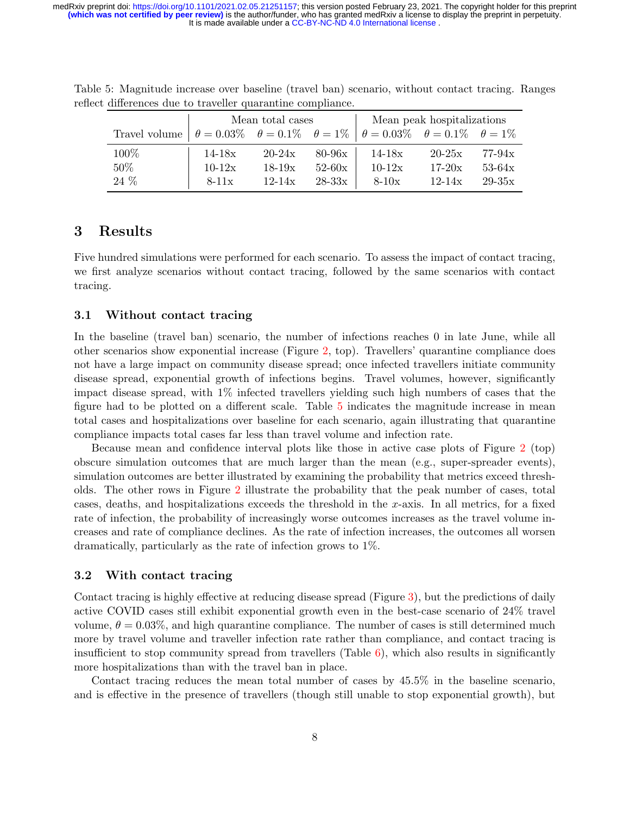<span id="page-7-0"></span>

|                                                                                                                   | Mean total cases |            |          | Mean peak hospitalizations |            |            |
|-------------------------------------------------------------------------------------------------------------------|------------------|------------|----------|----------------------------|------------|------------|
| Travel volume $\theta = 0.03\%$ $\theta = 0.1\%$ $\theta = 1\%$ $\theta = 0.03\%$ $\theta = 0.1\%$ $\theta = 1\%$ |                  |            |          |                            |            |            |
| 100\%                                                                                                             | $14 - 18x$       | $20 - 24x$ | $80-96x$ | $14 - 18x$                 | $20 - 25x$ | $77-94x$   |
| $50\%$                                                                                                            | $10 - 12x$       | $18 - 19x$ | $52-60x$ | $10-12x$                   | $17-20x$   | $53-64x$   |
| 24 %                                                                                                              | $8-11x$          | $12 - 14x$ | $28-33x$ | $8-10x$                    | $12 - 14x$ | $29 - 35x$ |

Table 5: Magnitude increase over baseline (travel ban) scenario, without contact tracing. Ranges reflect differences due to traveller quarantine compliance.

## 3 Results

Five hundred simulations were performed for each scenario. To assess the impact of contact tracing, we first analyze scenarios without contact tracing, followed by the same scenarios with contact tracing.

## 3.1 Without contact tracing

In the baseline (travel ban) scenario, the number of infections reaches 0 in late June, while all other scenarios show exponential increase (Figure [2,](#page-8-0) top). Travellers' quarantine compliance does not have a large impact on community disease spread; once infected travellers initiate community disease spread, exponential growth of infections begins. Travel volumes, however, significantly impact disease spread, with 1% infected travellers yielding such high numbers of cases that the figure had to be plotted on a different scale. Table [5](#page-7-0) indicates the magnitude increase in mean total cases and hospitalizations over baseline for each scenario, again illustrating that quarantine compliance impacts total cases far less than travel volume and infection rate.

Because mean and confidence interval plots like those in active case plots of Figure [2](#page-8-0) (top) obscure simulation outcomes that are much larger than the mean (e.g., super-spreader events), simulation outcomes are better illustrated by examining the probability that metrics exceed thresholds. The other rows in Figure [2](#page-8-0) illustrate the probability that the peak number of cases, total cases, deaths, and hospitalizations exceeds the threshold in the x-axis. In all metrics, for a fixed rate of infection, the probability of increasingly worse outcomes increases as the travel volume increases and rate of compliance declines. As the rate of infection increases, the outcomes all worsen dramatically, particularly as the rate of infection grows to 1%.

## 3.2 With contact tracing

Contact tracing is highly effective at reducing disease spread (Figure [3\)](#page-9-0), but the predictions of daily active COVID cases still exhibit exponential growth even in the best-case scenario of 24% travel volume,  $\theta = 0.03\%$ , and high quarantine compliance. The number of cases is still determined much more by travel volume and traveller infection rate rather than compliance, and contact tracing is insufficient to stop community spread from travellers (Table  $6$ ), which also results in significantly more hospitalizations than with the travel ban in place.

Contact tracing reduces the mean total number of cases by 45.5% in the baseline scenario, and is effective in the presence of travellers (though still unable to stop exponential growth), but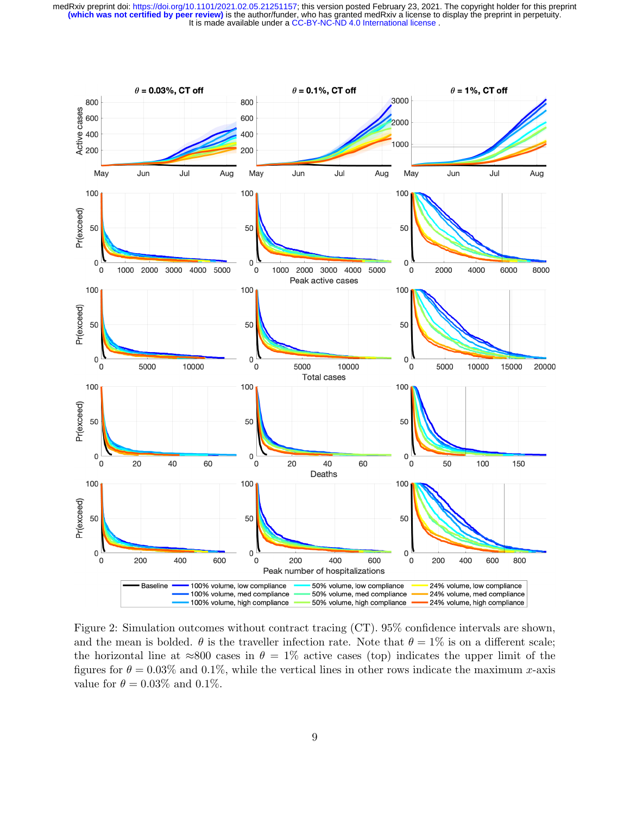

<span id="page-8-0"></span>Figure 2: Simulation outcomes without contract tracing (CT). 95% confidence intervals are shown, and the mean is bolded.  $\theta$  is the traveller infection rate. Note that  $\theta = 1\%$  is on a different scale; the horizontal line at  $\approx 800$  cases in  $\theta = 1\%$  active cases (top) indicates the upper limit of the figures for  $\theta = 0.03\%$  and 0.1%, while the vertical lines in other rows indicate the maximum x-axis value for  $\theta = 0.03\%$  and 0.1%.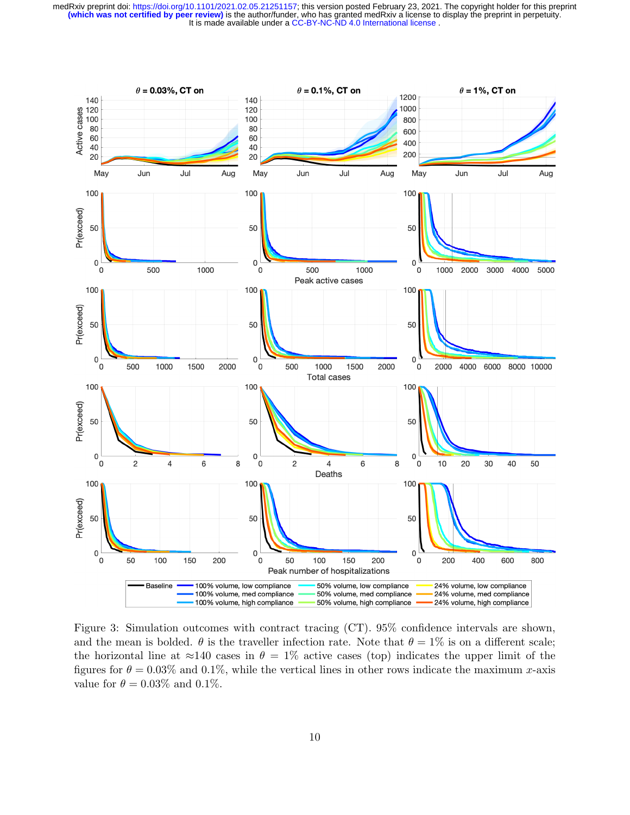

<span id="page-9-0"></span>Figure 3: Simulation outcomes with contract tracing (CT). 95% confidence intervals are shown, and the mean is bolded.  $\theta$  is the traveller infection rate. Note that  $\theta = 1\%$  is on a different scale; the horizontal line at  $\approx$ 140 cases in  $\theta = 1\%$  active cases (top) indicates the upper limit of the figures for  $\theta = 0.03\%$  and 0.1%, while the vertical lines in other rows indicate the maximum x-axis value for  $\theta = 0.03\%$  and 0.1%.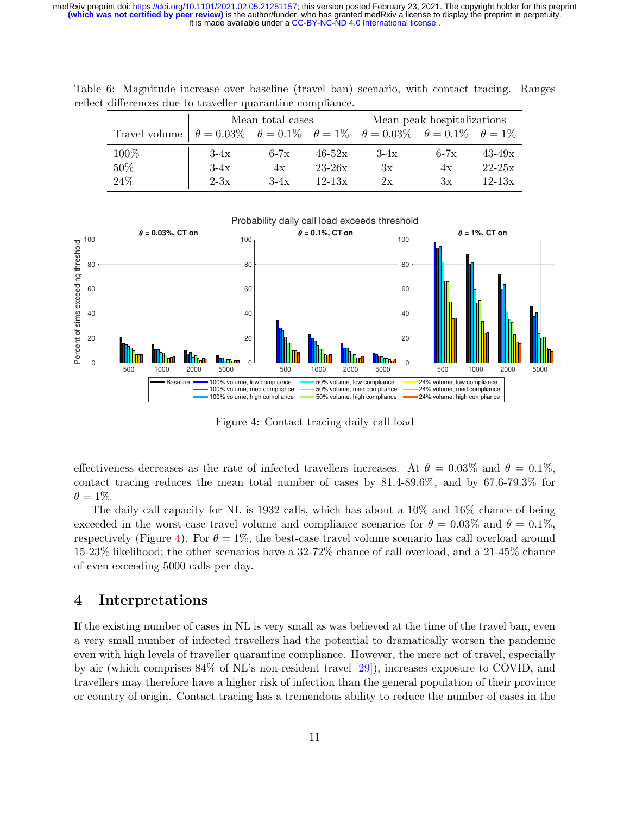<span id="page-10-0"></span>

|                                                                                                                   | Mean total cases |        |            | Mean peak hospitalizations |        |            |  |
|-------------------------------------------------------------------------------------------------------------------|------------------|--------|------------|----------------------------|--------|------------|--|
| Travel volume $\theta = 0.03\%$ $\theta = 0.1\%$ $\theta = 1\%$ $\theta = 0.03\%$ $\theta = 0.1\%$ $\theta = 1\%$ |                  |        |            |                            |        |            |  |
| 100%                                                                                                              | $3-4x$           | $6-7x$ | $46 - 52x$ | $3-4x$                     | $6-7x$ | $43 - 49x$ |  |
| $50\%$                                                                                                            | $3-4x$           | 4x     | $23-26x$   | 3x                         | 4x     | $22 - 25x$ |  |
| 24\%                                                                                                              | $2-3x$           | $3-4x$ | $12 - 13x$ | 2x                         | Зx     | $12 - 13x$ |  |

Table 6: Magnitude increase over baseline (travel ban) scenario, with contact tracing. Ranges reflect differences due to traveller quarantine compliance.



<span id="page-10-1"></span>Figure 4: Contact tracing daily call load

effectiveness decreases as the rate of infected travellers increases. At  $\theta = 0.03\%$  and  $\theta = 0.1\%$ , contact tracing reduces the mean total number of cases by 81.4-89.6%, and by 67.6-79.3% for  $\theta = 1\%.$ 

The daily call capacity for NL is 1932 calls, which has about a 10% and 16% chance of being exceeded in the worst-case travel volume and compliance scenarios for  $\theta = 0.03\%$  and  $\theta = 0.1\%$ , respectively (Figure [4\)](#page-10-1). For  $\theta = 1\%$ , the best-case travel volume scenario has call overload around 15-23% likelihood; the other scenarios have a 32-72% chance of call overload, and a 21-45% chance of even exceeding 5000 calls per day.

## 4 Interpretations

If the existing number of cases in NL is very small as was believed at the time of the travel ban, even a very small number of infected travellers had the potential to dramatically worsen the pandemic even with high levels of traveller quarantine compliance. However, the mere act of travel, especially by air (which comprises 84% of NL's non-resident travel [\[29\]](#page-13-5)), increases exposure to COVID, and travellers may therefore have a higher risk of infection than the general population of their province or country of origin. Contact tracing has a tremendous ability to reduce the number of cases in the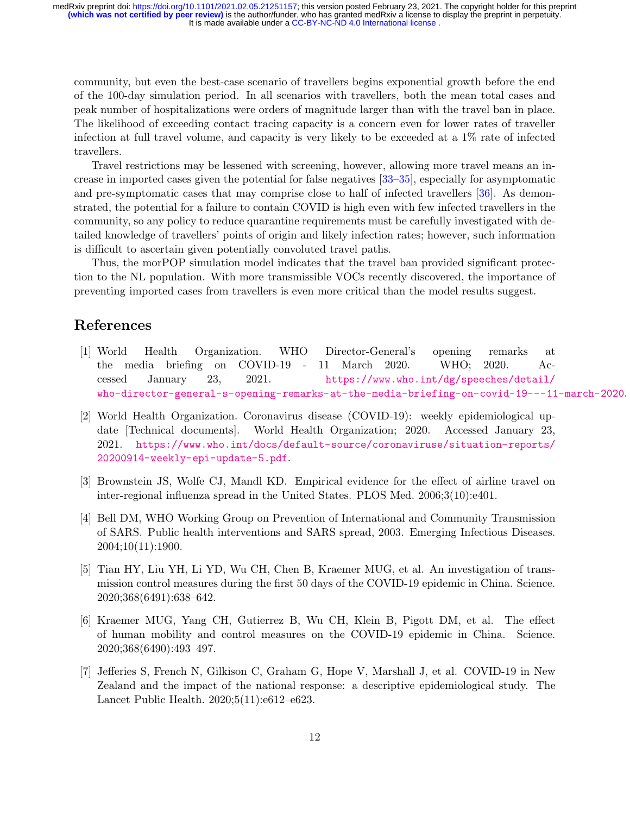community, but even the best-case scenario of travellers begins exponential growth before the end of the 100-day simulation period. In all scenarios with travellers, both the mean total cases and peak number of hospitalizations were orders of magnitude larger than with the travel ban in place. The likelihood of exceeding contact tracing capacity is a concern even for lower rates of traveller infection at full travel volume, and capacity is very likely to be exceeded at a 1% rate of infected travellers.

Travel restrictions may be lessened with screening, however, allowing more travel means an increase in imported cases given the potential for false negatives [\[33–](#page-13-10)[35\]](#page-14-0), especially for asymptomatic and pre-symptomatic cases that may comprise close to half of infected travellers [\[36\]](#page-14-1). As demonstrated, the potential for a failure to contain COVID is high even with few infected travellers in the community, so any policy to reduce quarantine requirements must be carefully investigated with detailed knowledge of travellers' points of origin and likely infection rates; however, such information is difficult to ascertain given potentially convoluted travel paths.

Thus, the morPOP simulation model indicates that the travel ban provided significant protection to the NL population. With more transmissible VOCs recently discovered, the importance of preventing imported cases from travellers is even more critical than the model results suggest.

# References

- <span id="page-11-0"></span>[1] World Health Organization. WHO Director-General's opening remarks at the media briefing on COVID-19 - 11 March 2020. WHO; 2020. Accessed January 23, 2021. [https://www.who.int/dg/speeches/detail/](https://www.who.int/dg/speeches/detail/who-director-general-s-opening-remarks-at-the-media-briefing-on-covid-19---11-march-2020) [who-director-general-s-opening-remarks-at-the-media-briefing-on-covid-19---11-march-2020](https://www.who.int/dg/speeches/detail/who-director-general-s-opening-remarks-at-the-media-briefing-on-covid-19---11-march-2020).
- <span id="page-11-1"></span>[2] World Health Organization. Coronavirus disease (COVID-19): weekly epidemiological update [Technical documents]. World Health Organization; 2020. Accessed January 23, 2021. [https://www.who.int/docs/default-source/coronaviruse/situation-reports/](https://www.who.int/docs/default-source/coronaviruse/situation-reports/20200914-weekly-epi-update-5.pdf) [20200914-weekly-epi-update-5.pdf](https://www.who.int/docs/default-source/coronaviruse/situation-reports/20200914-weekly-epi-update-5.pdf).
- <span id="page-11-2"></span>[3] Brownstein JS, Wolfe CJ, Mandl KD. Empirical evidence for the effect of airline travel on inter-regional influenza spread in the United States. PLOS Med. 2006;3(10):e401.
- <span id="page-11-3"></span>[4] Bell DM, WHO Working Group on Prevention of International and Community Transmission of SARS. Public health interventions and SARS spread, 2003. Emerging Infectious Diseases. 2004;10(11):1900.
- <span id="page-11-4"></span>[5] Tian HY, Liu YH, Li YD, Wu CH, Chen B, Kraemer MUG, et al. An investigation of transmission control measures during the first 50 days of the COVID-19 epidemic in China. Science. 2020;368(6491):638–642.
- <span id="page-11-5"></span>[6] Kraemer MUG, Yang CH, Gutierrez B, Wu CH, Klein B, Pigott DM, et al. The effect of human mobility and control measures on the COVID-19 epidemic in China. Science. 2020;368(6490):493–497.
- <span id="page-11-6"></span>[7] Jefferies S, French N, Gilkison C, Graham G, Hope V, Marshall J, et al. COVID-19 in New Zealand and the impact of the national response: a descriptive epidemiological study. The Lancet Public Health. 2020;5(11):e612–e623.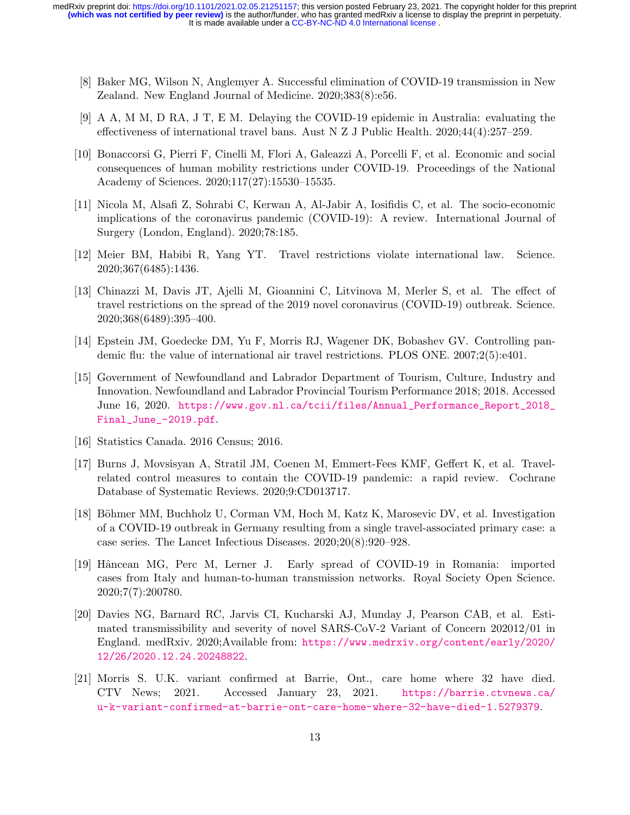- <span id="page-12-0"></span>[8] Baker MG, Wilson N, Anglemyer A. Successful elimination of COVID-19 transmission in New Zealand. New England Journal of Medicine. 2020;383(8):e56.
- <span id="page-12-1"></span>[9] A A, M M, D RA, J T, E M. Delaying the COVID-19 epidemic in Australia: evaluating the effectiveness of international travel bans. Aust N Z J Public Health. 2020;44(4):257–259.
- <span id="page-12-2"></span>[10] Bonaccorsi G, Pierri F, Cinelli M, Flori A, Galeazzi A, Porcelli F, et al. Economic and social consequences of human mobility restrictions under COVID-19. Proceedings of the National Academy of Sciences. 2020;117(27):15530–15535.
- <span id="page-12-3"></span>[11] Nicola M, Alsafi Z, Sohrabi C, Kerwan A, Al-Jabir A, Iosifidis C, et al. The socio-economic implications of the coronavirus pandemic (COVID-19): A review. International Journal of Surgery (London, England). 2020;78:185.
- <span id="page-12-4"></span>[12] Meier BM, Habibi R, Yang YT. Travel restrictions violate international law. Science. 2020;367(6485):1436.
- <span id="page-12-5"></span>[13] Chinazzi M, Davis JT, Ajelli M, Gioannini C, Litvinova M, Merler S, et al. The effect of travel restrictions on the spread of the 2019 novel coronavirus (COVID-19) outbreak. Science. 2020;368(6489):395–400.
- <span id="page-12-6"></span>[14] Epstein JM, Goedecke DM, Yu F, Morris RJ, Wagener DK, Bobashev GV. Controlling pandemic flu: the value of international air travel restrictions. PLOS ONE. 2007;2(5):e401.
- <span id="page-12-7"></span>[15] Government of Newfoundland and Labrador Department of Tourism, Culture, Industry and Innovation. Newfoundland and Labrador Provincial Tourism Performance 2018; 2018. Accessed June 16, 2020. [https://www.gov.nl.ca/tcii/files/Annual\\_Performance\\_Report\\_2018\\_](https://www.gov.nl.ca/tcii/files/Annual_Performance_Report_2018_Final_June_-2019.pdf) [Final\\_June\\_-2019.pdf](https://www.gov.nl.ca/tcii/files/Annual_Performance_Report_2018_Final_June_-2019.pdf).
- <span id="page-12-8"></span>[16] Statistics Canada. 2016 Census; 2016.
- <span id="page-12-9"></span>[17] Burns J, Movsisyan A, Stratil JM, Coenen M, Emmert-Fees KMF, Geffert K, et al. Travelrelated control measures to contain the COVID-19 pandemic: a rapid review. Cochrane Database of Systematic Reviews. 2020;9:CD013717.
- <span id="page-12-10"></span>[18] Böhmer MM, Buchholz U, Corman VM, Hoch M, Katz K, Marosevic DV, et al. Investigation of a COVID-19 outbreak in Germany resulting from a single travel-associated primary case: a case series. The Lancet Infectious Diseases. 2020;20(8):920–928.
- <span id="page-12-11"></span>[19] Hâncean MG, Perc M, Lerner J. Early spread of COVID-19 in Romania: imported cases from Italy and human-to-human transmission networks. Royal Society Open Science. 2020;7(7):200780.
- <span id="page-12-12"></span>[20] Davies NG, Barnard RC, Jarvis CI, Kucharski AJ, Munday J, Pearson CAB, et al. Estimated transmissibility and severity of novel SARS-CoV-2 Variant of Concern 202012/01 in England. medRxiv. 2020;Available from: [https://www.medrxiv.org/content/early/2020/](https://www.medrxiv.org/content/early/2020/12/26/2020.12.24.20248822) [12/26/2020.12.24.20248822](https://www.medrxiv.org/content/early/2020/12/26/2020.12.24.20248822).
- <span id="page-12-13"></span>[21] Morris S. U.K. variant confirmed at Barrie, Ont., care home where 32 have died. CTV News; 2021. Accessed January 23, 2021. [https://barrie.ctvnews.ca/](https://barrie.ctvnews.ca/u-k-variant-confirmed-at-barrie-ont-care-home-where-32-have-died-1.5279379) [u-k-variant-confirmed-at-barrie-ont-care-home-where-32-have-died-1.5279379](https://barrie.ctvnews.ca/u-k-variant-confirmed-at-barrie-ont-care-home-where-32-have-died-1.5279379).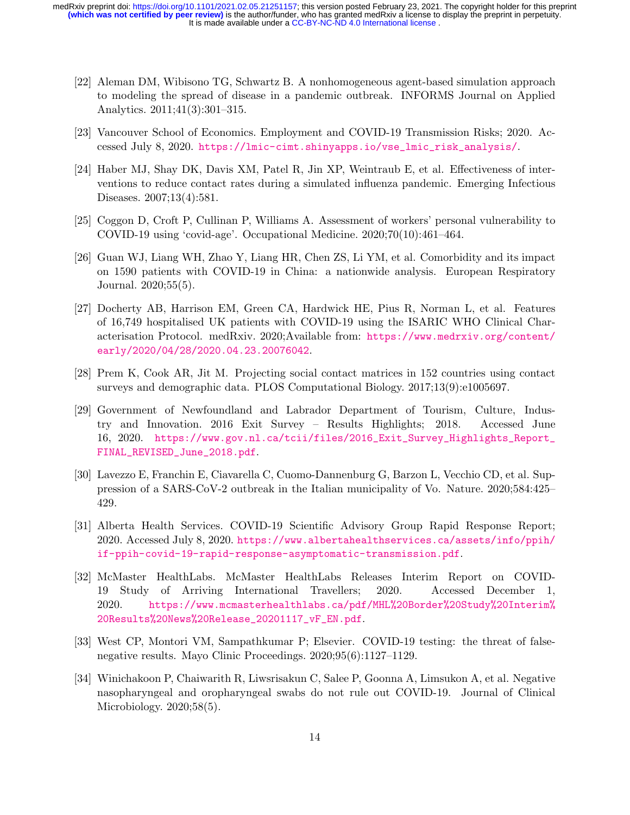- <span id="page-13-0"></span>[22] Aleman DM, Wibisono TG, Schwartz B. A nonhomogeneous agent-based simulation approach to modeling the spread of disease in a pandemic outbreak. INFORMS Journal on Applied Analytics. 2011;41(3):301–315.
- <span id="page-13-1"></span>[23] Vancouver School of Economics. Employment and COVID-19 Transmission Risks; 2020. Accessed July 8, 2020. [https://lmic-cimt.shinyapps.io/vse\\_lmic\\_risk\\_analysis/](https://lmic-cimt.shinyapps.io/vse_lmic_risk_analysis/).
- <span id="page-13-2"></span>[24] Haber MJ, Shay DK, Davis XM, Patel R, Jin XP, Weintraub E, et al. Effectiveness of interventions to reduce contact rates during a simulated influenza pandemic. Emerging Infectious Diseases. 2007;13(4):581.
- <span id="page-13-3"></span>[25] Coggon D, Croft P, Cullinan P, Williams A. Assessment of workers' personal vulnerability to COVID-19 using 'covid-age'. Occupational Medicine. 2020;70(10):461–464.
- [26] Guan WJ, Liang WH, Zhao Y, Liang HR, Chen ZS, Li YM, et al. Comorbidity and its impact on 1590 patients with COVID-19 in China: a nationwide analysis. European Respiratory Journal. 2020;55(5).
- <span id="page-13-4"></span>[27] Docherty AB, Harrison EM, Green CA, Hardwick HE, Pius R, Norman L, et al. Features of 16,749 hospitalised UK patients with COVID-19 using the ISARIC WHO Clinical Characterisation Protocol. medRxiv. 2020;Available from: [https://www.medrxiv.org/content/](https://www.medrxiv.org/content/early/2020/04/28/2020.04.23.20076042) [early/2020/04/28/2020.04.23.20076042](https://www.medrxiv.org/content/early/2020/04/28/2020.04.23.20076042).
- <span id="page-13-6"></span>[28] Prem K, Cook AR, Jit M. Projecting social contact matrices in 152 countries using contact surveys and demographic data. PLOS Computational Biology. 2017;13(9):e1005697.
- <span id="page-13-5"></span>[29] Government of Newfoundland and Labrador Department of Tourism, Culture, Industry and Innovation. 2016 Exit Survey – Results Highlights; 2018. Accessed June 16, 2020. [https://www.gov.nl.ca/tcii/files/2016\\_Exit\\_Survey\\_Highlights\\_Report\\_](https://www.gov.nl.ca/tcii/files/2016_Exit_Survey_Highlights_Report_FINAL_REVISED_June_2018.pdf) [FINAL\\_REVISED\\_June\\_2018.pdf](https://www.gov.nl.ca/tcii/files/2016_Exit_Survey_Highlights_Report_FINAL_REVISED_June_2018.pdf).
- <span id="page-13-7"></span>[30] Lavezzo E, Franchin E, Ciavarella C, Cuomo-Dannenburg G, Barzon L, Vecchio CD, et al. Suppression of a SARS-CoV-2 outbreak in the Italian municipality of Vo. Nature. 2020;584:425– 429.
- <span id="page-13-8"></span>[31] Alberta Health Services. COVID-19 Scientific Advisory Group Rapid Response Report; 2020. Accessed July 8, 2020. [https://www.albertahealthservices.ca/assets/info/ppih/](https://www.albertahealthservices.ca/assets/info/ppih/if-ppih-covid-19-rapid-response-asymptomatic-transmission.pdf) [if-ppih-covid-19-rapid-response-asymptomatic-transmission.pdf](https://www.albertahealthservices.ca/assets/info/ppih/if-ppih-covid-19-rapid-response-asymptomatic-transmission.pdf).
- <span id="page-13-9"></span>[32] McMaster HealthLabs. McMaster HealthLabs Releases Interim Report on COVID-19 Study of Arriving International Travellers; 2020. Accessed December 1, 2020. [https://www.mcmasterhealthlabs.ca/pdf/MHL%20Border%20Study%20Interim%](https://www.mcmasterhealthlabs.ca/pdf/MHL%20Border%20Study%20Interim%20Results%20News%20Release_20201117_vF_EN.pdf) [20Results%20News%20Release\\_20201117\\_vF\\_EN.pdf](https://www.mcmasterhealthlabs.ca/pdf/MHL%20Border%20Study%20Interim%20Results%20News%20Release_20201117_vF_EN.pdf).
- <span id="page-13-10"></span>[33] West CP, Montori VM, Sampathkumar P; Elsevier. COVID-19 testing: the threat of falsenegative results. Mayo Clinic Proceedings. 2020;95(6):1127–1129.
- [34] Winichakoon P, Chaiwarith R, Liwsrisakun C, Salee P, Goonna A, Limsukon A, et al. Negative nasopharyngeal and oropharyngeal swabs do not rule out COVID-19. Journal of Clinical Microbiology. 2020;58(5).